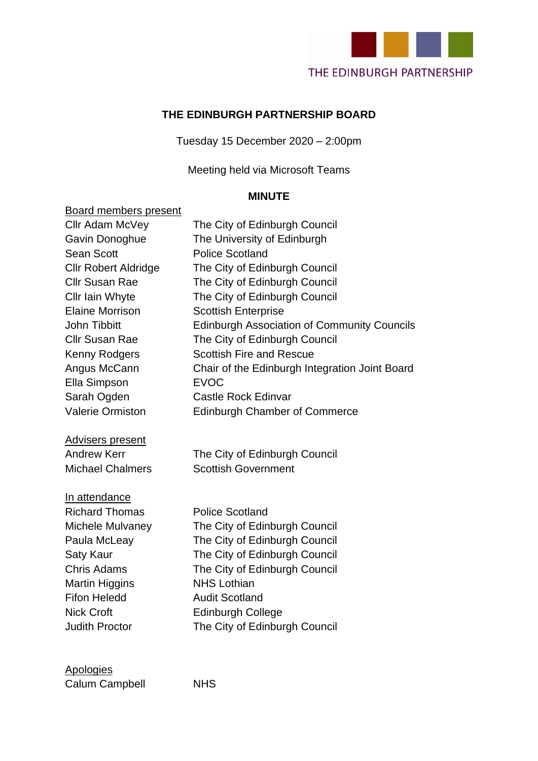

#### **THE EDINBURGH PARTNERSHIP BOARD**

Tuesday 15 December 2020 – 2:00pm

Meeting held via Microsoft Teams

#### **MINUTE**

### Board members present Cllr Adam McVey The City of Edinburgh Council Gavin Donoghue The University of Edinburgh Sean Scott Police Scotland Cllr Robert Aldridge The City of Edinburgh Council Cllr Susan Rae The City of Edinburgh Council Cllr Iain Whyte The City of Edinburgh Council Elaine Morrison Scottish Enterprise John Tibbitt **Edinburgh Association of Community Councils** Cllr Susan Rae The City of Edinburgh Council Kenny Rodgers Scottish Fire and Rescue Angus McCann Chair of the Edinburgh Integration Joint Board Ella Simpson EVOC Sarah Ogden Castle Rock Edinvar Valerie Ormiston Edinburgh Chamber of Commerce Advisers present Andrew Kerr **The City of Edinburgh Council** Michael Chalmers Scottish Government In attendance Richard Thomas Police Scotland Michele Mulvaney The City of Edinburgh Council Paula McLeay The City of Edinburgh Council Saty Kaur The City of Edinburgh Council Chris Adams The City of Edinburgh Council Martin Higgins NHS Lothian Fifon Heledd **Audit Scotland** Nick Croft **Edinburgh College** Judith Proctor The City of Edinburgh Council

### Apologies

Calum Campbell NHS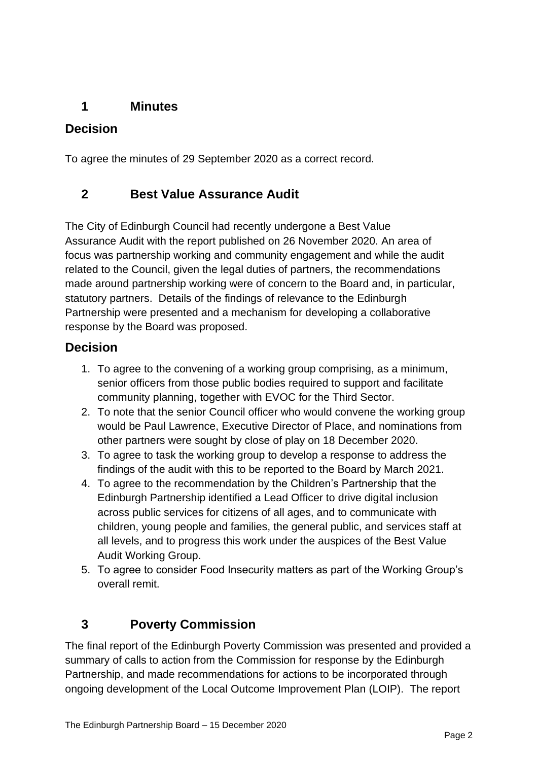### **1 Minutes**

### **Decision**

To agree the minutes of 29 September 2020 as a correct record.

### **2 Best Value Assurance Audit**

The City of Edinburgh Council had recently undergone a Best Value Assurance Audit with the report published on 26 November 2020. An area of focus was partnership working and community engagement and while the audit related to the Council, given the legal duties of partners, the recommendations made around partnership working were of concern to the Board and, in particular, statutory partners. Details of the findings of relevance to the Edinburgh Partnership were presented and a mechanism for developing a collaborative response by the Board was proposed.

### **Decision**

- 1. To agree to the convening of a working group comprising, as a minimum, senior officers from those public bodies required to support and facilitate community planning, together with EVOC for the Third Sector.
- 2. To note that the senior Council officer who would convene the working group would be Paul Lawrence, Executive Director of Place, and nominations from other partners were sought by close of play on 18 December 2020.
- 3. To agree to task the working group to develop a response to address the findings of the audit with this to be reported to the Board by March 2021.
- 4. To agree to the recommendation by the Children's Partnership that the Edinburgh Partnership identified a Lead Officer to drive digital inclusion across public services for citizens of all ages, and to communicate with children, young people and families, the general public, and services staff at all levels, and to progress this work under the auspices of the Best Value Audit Working Group.
- 5. To agree to consider Food Insecurity matters as part of the Working Group's overall remit.

# **3 Poverty Commission**

The final report of the Edinburgh Poverty Commission was presented and provided a summary of calls to action from the Commission for response by the Edinburgh Partnership, and made recommendations for actions to be incorporated through ongoing development of the Local Outcome Improvement Plan (LOIP). The report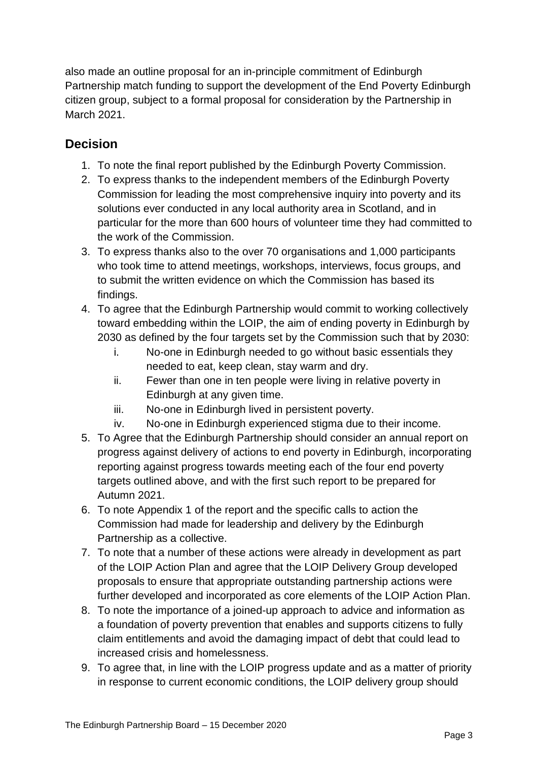also made an outline proposal for an in-principle commitment of Edinburgh Partnership match funding to support the development of the End Poverty Edinburgh citizen group, subject to a formal proposal for consideration by the Partnership in March 2021.

### **Decision**

- 1. To note the final report published by the Edinburgh Poverty Commission.
- 2. To express thanks to the independent members of the Edinburgh Poverty Commission for leading the most comprehensive inquiry into poverty and its solutions ever conducted in any local authority area in Scotland, and in particular for the more than 600 hours of volunteer time they had committed to the work of the Commission.
- 3. To express thanks also to the over 70 organisations and 1,000 participants who took time to attend meetings, workshops, interviews, focus groups, and to submit the written evidence on which the Commission has based its findings.
- 4. To agree that the Edinburgh Partnership would commit to working collectively toward embedding within the LOIP, the aim of ending poverty in Edinburgh by 2030 as defined by the four targets set by the Commission such that by 2030:
	- i. No-one in Edinburgh needed to go without basic essentials they needed to eat, keep clean, stay warm and dry.
	- ii. Fewer than one in ten people were living in relative poverty in Edinburgh at any given time.
	- iii. No-one in Edinburgh lived in persistent poverty.
	- iv. No-one in Edinburgh experienced stigma due to their income.
- 5. To Agree that the Edinburgh Partnership should consider an annual report on progress against delivery of actions to end poverty in Edinburgh, incorporating reporting against progress towards meeting each of the four end poverty targets outlined above, and with the first such report to be prepared for Autumn 2021.
- 6. To note Appendix 1 of the report and the specific calls to action the Commission had made for leadership and delivery by the Edinburgh Partnership as a collective.
- 7. To note that a number of these actions were already in development as part of the LOIP Action Plan and agree that the LOIP Delivery Group developed proposals to ensure that appropriate outstanding partnership actions were further developed and incorporated as core elements of the LOIP Action Plan.
- 8. To note the importance of a joined-up approach to advice and information as a foundation of poverty prevention that enables and supports citizens to fully claim entitlements and avoid the damaging impact of debt that could lead to increased crisis and homelessness.
- 9. To agree that, in line with the LOIP progress update and as a matter of priority in response to current economic conditions, the LOIP delivery group should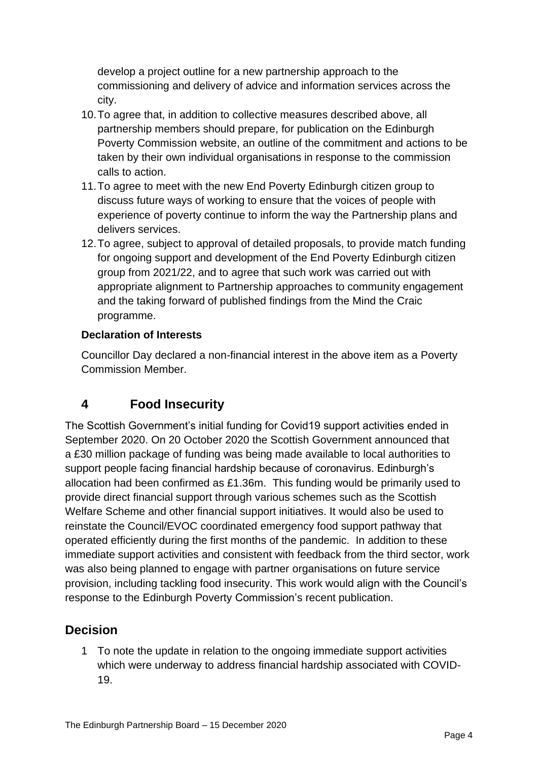develop a project outline for a new partnership approach to the commissioning and delivery of advice and information services across the city.

- 10.To agree that, in addition to collective measures described above, all partnership members should prepare, for publication on the Edinburgh Poverty Commission website, an outline of the commitment and actions to be taken by their own individual organisations in response to the commission calls to action.
- 11.To agree to meet with the new End Poverty Edinburgh citizen group to discuss future ways of working to ensure that the voices of people with experience of poverty continue to inform the way the Partnership plans and delivers services.
- 12.To agree, subject to approval of detailed proposals, to provide match funding for ongoing support and development of the End Poverty Edinburgh citizen group from 2021/22, and to agree that such work was carried out with appropriate alignment to Partnership approaches to community engagement and the taking forward of published findings from the Mind the Craic programme.

#### **Declaration of Interests**

Councillor Day declared a non-financial interest in the above item as a Poverty Commission Member.

### **4 Food Insecurity**

The Scottish Government's initial funding for Covid19 support activities ended in September 2020. On 20 October 2020 the Scottish Government announced that a £30 million package of funding was being made available to local authorities to support people facing financial hardship because of coronavirus. Edinburgh's allocation had been confirmed as £1.36m. This funding would be primarily used to provide direct financial support through various schemes such as the Scottish Welfare Scheme and other financial support initiatives. It would also be used to reinstate the Council/EVOC coordinated emergency food support pathway that operated efficiently during the first months of the pandemic. In addition to these immediate support activities and consistent with feedback from the third sector, work was also being planned to engage with partner organisations on future service provision, including tackling food insecurity. This work would align with the Council's response to the Edinburgh Poverty Commission's recent publication.

### **Decision**

1 To note the update in relation to the ongoing immediate support activities which were underway to address financial hardship associated with COVID-19.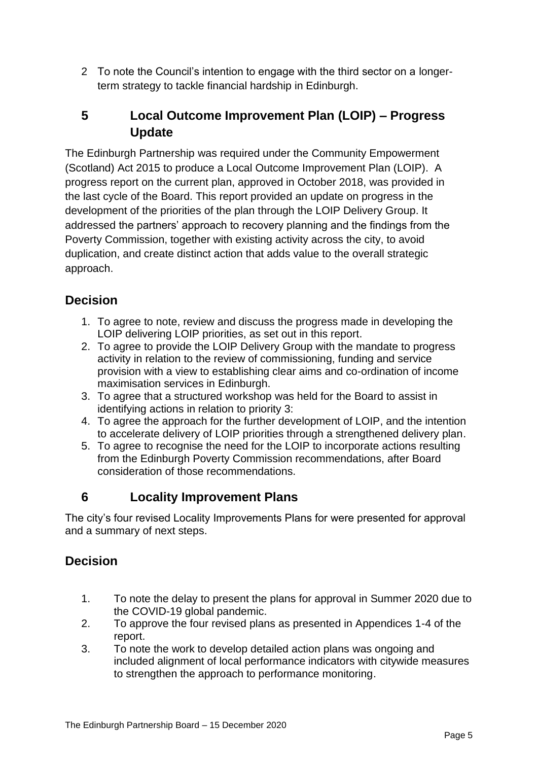2 To note the Council's intention to engage with the third sector on a longerterm strategy to tackle financial hardship in Edinburgh.

## **5 Local Outcome Improvement Plan (LOIP) – Progress Update**

The Edinburgh Partnership was required under the Community Empowerment (Scotland) Act 2015 to produce a Local Outcome Improvement Plan (LOIP). A progress report on the current plan, approved in October 2018, was provided in the last cycle of the Board. This report provided an update on progress in the development of the priorities of the plan through the LOIP Delivery Group. It addressed the partners' approach to recovery planning and the findings from the Poverty Commission, together with existing activity across the city, to avoid duplication, and create distinct action that adds value to the overall strategic approach.

# **Decision**

- 1. To agree to note, review and discuss the progress made in developing the LOIP delivering LOIP priorities, as set out in this report.
- 2. To agree to provide the LOIP Delivery Group with the mandate to progress activity in relation to the review of commissioning, funding and service provision with a view to establishing clear aims and co-ordination of income maximisation services in Edinburgh.
- 3. To agree that a structured workshop was held for the Board to assist in identifying actions in relation to priority 3:
- 4. To agree the approach for the further development of LOIP, and the intention to accelerate delivery of LOIP priorities through a strengthened delivery plan.
- 5. To agree to recognise the need for the LOIP to incorporate actions resulting from the Edinburgh Poverty Commission recommendations, after Board consideration of those recommendations.

### **6 Locality Improvement Plans**

The city's four revised Locality Improvements Plans for were presented for approval and a summary of next steps.

### **Decision**

- 1. To note the delay to present the plans for approval in Summer 2020 due to the COVID-19 global pandemic.
- 2. To approve the four revised plans as presented in Appendices 1-4 of the report.
- 3. To note the work to develop detailed action plans was ongoing and included alignment of local performance indicators with citywide measures to strengthen the approach to performance monitoring.